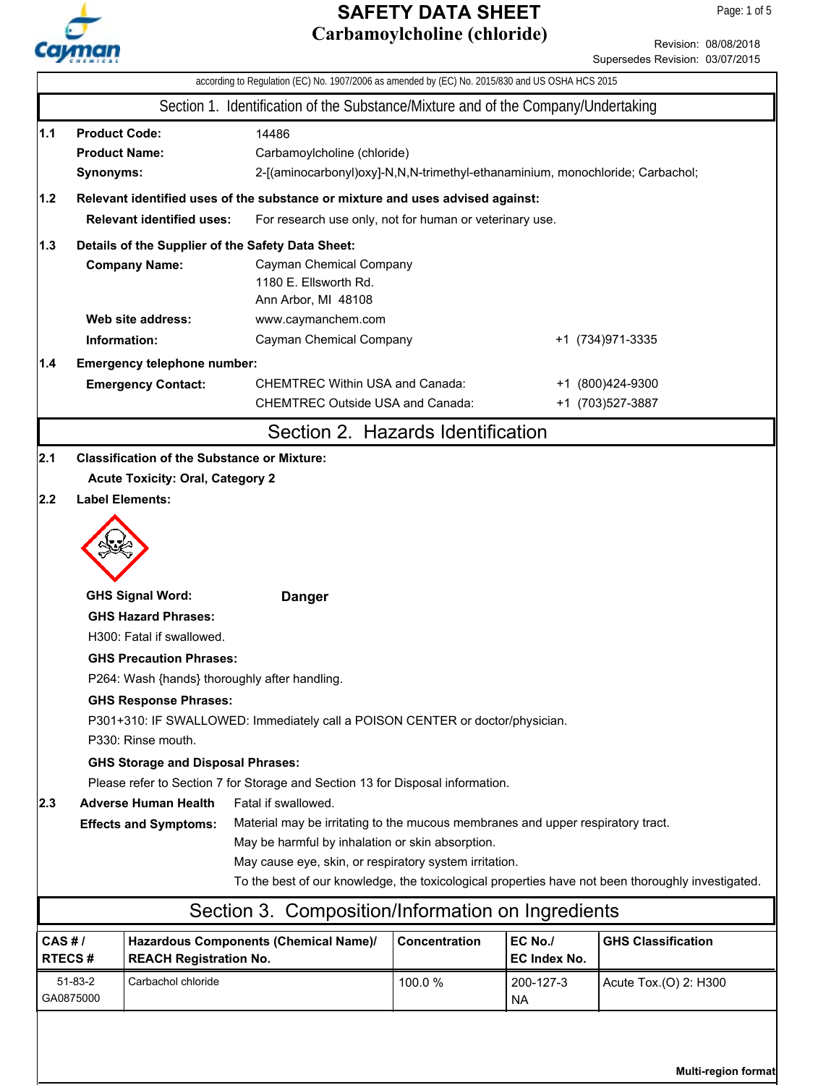

Revision: 08/08/2018 Supersedes Revision: 03/07/2015

|                                                                                                                 | according to Regulation (EC) No. 1907/2006 as amended by (EC) No. 2015/830 and US OSHA HCS 2015 |                                                    |                                                                                                                            |               |                         |                                      |  |  |
|-----------------------------------------------------------------------------------------------------------------|-------------------------------------------------------------------------------------------------|----------------------------------------------------|----------------------------------------------------------------------------------------------------------------------------|---------------|-------------------------|--------------------------------------|--|--|
|                                                                                                                 |                                                                                                 |                                                    | Section 1. Identification of the Substance/Mixture and of the Company/Undertaking                                          |               |                         |                                      |  |  |
| 1.1                                                                                                             | <b>Product Code:</b><br><b>Product Name:</b><br>Synonyms:                                       |                                                    | 14486<br>Carbamoylcholine (chloride)<br>2-[(aminocarbonyl)oxy]-N,N,N-trimethyl-ethanaminium, monochloride; Carbachol;      |               |                         |                                      |  |  |
| 1.2                                                                                                             |                                                                                                 |                                                    | Relevant identified uses of the substance or mixture and uses advised against:                                             |               |                         |                                      |  |  |
|                                                                                                                 |                                                                                                 | <b>Relevant identified uses:</b>                   | For research use only, not for human or veterinary use.                                                                    |               |                         |                                      |  |  |
| 1.3                                                                                                             |                                                                                                 |                                                    | Details of the Supplier of the Safety Data Sheet:                                                                          |               |                         |                                      |  |  |
|                                                                                                                 |                                                                                                 | <b>Company Name:</b>                               | Cayman Chemical Company<br>1180 E. Ellsworth Rd.<br>Ann Arbor, MI 48108                                                    |               |                         |                                      |  |  |
|                                                                                                                 |                                                                                                 | Web site address:                                  | www.caymanchem.com                                                                                                         |               |                         |                                      |  |  |
|                                                                                                                 | Information:                                                                                    |                                                    | Cayman Chemical Company                                                                                                    |               |                         | +1 (734) 971-3335                    |  |  |
| 1.4                                                                                                             |                                                                                                 | Emergency telephone number:                        |                                                                                                                            |               |                         |                                      |  |  |
|                                                                                                                 |                                                                                                 | <b>Emergency Contact:</b>                          | <b>CHEMTREC Within USA and Canada:</b><br><b>CHEMTREC Outside USA and Canada:</b>                                          |               |                         | +1 (800)424-9300<br>+1 (703)527-3887 |  |  |
|                                                                                                                 |                                                                                                 |                                                    |                                                                                                                            |               |                         |                                      |  |  |
|                                                                                                                 |                                                                                                 |                                                    | Section 2. Hazards Identification                                                                                          |               |                         |                                      |  |  |
| 2.1                                                                                                             |                                                                                                 | <b>Classification of the Substance or Mixture:</b> |                                                                                                                            |               |                         |                                      |  |  |
|                                                                                                                 |                                                                                                 | <b>Acute Toxicity: Oral, Category 2</b>            |                                                                                                                            |               |                         |                                      |  |  |
| 2.2                                                                                                             |                                                                                                 | <b>Label Elements:</b>                             |                                                                                                                            |               |                         |                                      |  |  |
|                                                                                                                 |                                                                                                 |                                                    |                                                                                                                            |               |                         |                                      |  |  |
|                                                                                                                 | <b>GHS Signal Word:</b><br><b>Danger</b>                                                        |                                                    |                                                                                                                            |               |                         |                                      |  |  |
|                                                                                                                 | <b>GHS Hazard Phrases:</b>                                                                      |                                                    |                                                                                                                            |               |                         |                                      |  |  |
| H300: Fatal if swallowed.                                                                                       |                                                                                                 |                                                    |                                                                                                                            |               |                         |                                      |  |  |
|                                                                                                                 |                                                                                                 | <b>GHS Precaution Phrases:</b>                     |                                                                                                                            |               |                         |                                      |  |  |
|                                                                                                                 | P264: Wash {hands} thoroughly after handling.<br><b>GHS Response Phrases:</b>                   |                                                    |                                                                                                                            |               |                         |                                      |  |  |
|                                                                                                                 |                                                                                                 |                                                    |                                                                                                                            |               |                         |                                      |  |  |
|                                                                                                                 |                                                                                                 | P330: Rinse mouth.                                 | P301+310: IF SWALLOWED: Immediately call a POISON CENTER or doctor/physician.                                              |               |                         |                                      |  |  |
|                                                                                                                 |                                                                                                 |                                                    |                                                                                                                            |               |                         |                                      |  |  |
|                                                                                                                 |                                                                                                 |                                                    | <b>GHS Storage and Disposal Phrases:</b><br>Please refer to Section 7 for Storage and Section 13 for Disposal information. |               |                         |                                      |  |  |
| Fatal if swallowed.<br> 2.3 <br><b>Adverse Human Health</b>                                                     |                                                                                                 |                                                    |                                                                                                                            |               |                         |                                      |  |  |
| Material may be irritating to the mucous membranes and upper respiratory tract.<br><b>Effects and Symptoms:</b> |                                                                                                 |                                                    |                                                                                                                            |               |                         |                                      |  |  |
|                                                                                                                 | May be harmful by inhalation or skin absorption.                                                |                                                    |                                                                                                                            |               |                         |                                      |  |  |
|                                                                                                                 | May cause eye, skin, or respiratory system irritation.                                          |                                                    |                                                                                                                            |               |                         |                                      |  |  |
| To the best of our knowledge, the toxicological properties have not been thoroughly investigated.               |                                                                                                 |                                                    |                                                                                                                            |               |                         |                                      |  |  |
|                                                                                                                 |                                                                                                 |                                                    | Section 3. Composition/Information on Ingredients                                                                          |               |                         |                                      |  |  |
| CAS #/<br><b>RTECS#</b>                                                                                         |                                                                                                 | <b>REACH Registration No.</b>                      | Hazardous Components (Chemical Name)/                                                                                      | Concentration | EC No./<br>EC Index No. | <b>GHS Classification</b>            |  |  |
|                                                                                                                 | 51-83-2<br>GA0875000                                                                            | Carbachol chloride                                 |                                                                                                                            | 100.0%        | 200-127-3<br><b>NA</b>  | Acute Tox.(O) 2: H300                |  |  |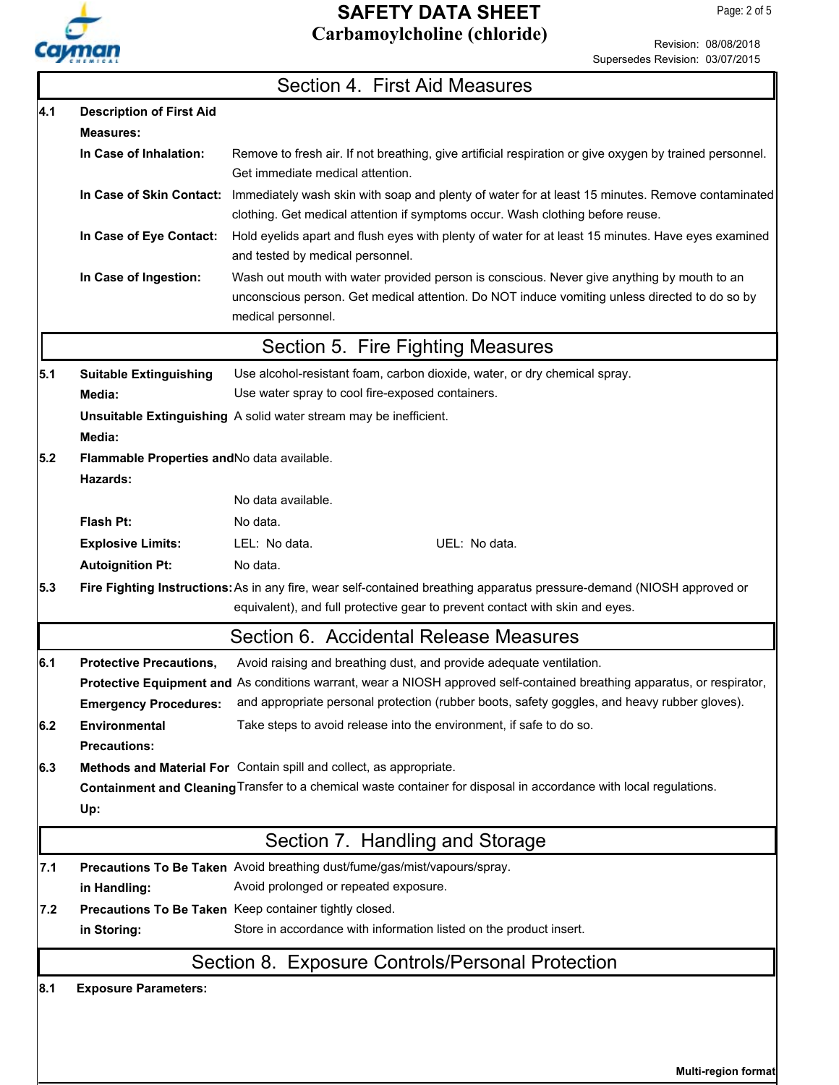

Revision: 08/08/2018 Supersedes Revision: 03/07/2015

|     |                                                                                                                    | Section 4. First Aid Measures                                                                                                                                                                                     |  |  |  |  |
|-----|--------------------------------------------------------------------------------------------------------------------|-------------------------------------------------------------------------------------------------------------------------------------------------------------------------------------------------------------------|--|--|--|--|
| 4.1 | <b>Description of First Aid</b>                                                                                    |                                                                                                                                                                                                                   |  |  |  |  |
|     | <b>Measures:</b>                                                                                                   |                                                                                                                                                                                                                   |  |  |  |  |
|     | In Case of Inhalation:                                                                                             | Remove to fresh air. If not breathing, give artificial respiration or give oxygen by trained personnel.<br>Get immediate medical attention.                                                                       |  |  |  |  |
|     | In Case of Skin Contact:                                                                                           | Immediately wash skin with soap and plenty of water for at least 15 minutes. Remove contaminated<br>clothing. Get medical attention if symptoms occur. Wash clothing before reuse.                                |  |  |  |  |
|     | In Case of Eye Contact:                                                                                            | Hold eyelids apart and flush eyes with plenty of water for at least 15 minutes. Have eyes examined<br>and tested by medical personnel.                                                                            |  |  |  |  |
|     | In Case of Ingestion:                                                                                              | Wash out mouth with water provided person is conscious. Never give anything by mouth to an<br>unconscious person. Get medical attention. Do NOT induce vomiting unless directed to do so by<br>medical personnel. |  |  |  |  |
|     |                                                                                                                    | Section 5. Fire Fighting Measures                                                                                                                                                                                 |  |  |  |  |
| 5.1 | <b>Suitable Extinguishing</b>                                                                                      | Use alcohol-resistant foam, carbon dioxide, water, or dry chemical spray.                                                                                                                                         |  |  |  |  |
|     | Media:                                                                                                             | Use water spray to cool fire-exposed containers.                                                                                                                                                                  |  |  |  |  |
|     |                                                                                                                    | Unsuitable Extinguishing A solid water stream may be inefficient.                                                                                                                                                 |  |  |  |  |
|     | Media:                                                                                                             |                                                                                                                                                                                                                   |  |  |  |  |
| 5.2 | Flammable Properties and No data available.<br>Hazards:                                                            |                                                                                                                                                                                                                   |  |  |  |  |
|     |                                                                                                                    | No data available.                                                                                                                                                                                                |  |  |  |  |
|     | Flash Pt:                                                                                                          | No data.                                                                                                                                                                                                          |  |  |  |  |
|     | <b>Explosive Limits:</b>                                                                                           | LEL: No data.<br>UEL: No data.                                                                                                                                                                                    |  |  |  |  |
|     | <b>Autoignition Pt:</b>                                                                                            | No data.                                                                                                                                                                                                          |  |  |  |  |
| 5.3 |                                                                                                                    | Fire Fighting Instructions: As in any fire, wear self-contained breathing apparatus pressure-demand (NIOSH approved or<br>equivalent), and full protective gear to prevent contact with skin and eyes.            |  |  |  |  |
|     |                                                                                                                    | Section 6. Accidental Release Measures                                                                                                                                                                            |  |  |  |  |
| 6.1 | <b>Protective Precautions,</b>                                                                                     | Avoid raising and breathing dust, and provide adequate ventilation.                                                                                                                                               |  |  |  |  |
|     |                                                                                                                    | Protective Equipment and As conditions warrant, wear a NIOSH approved self-contained breathing apparatus, or respirator,                                                                                          |  |  |  |  |
|     | <b>Emergency Procedures:</b>                                                                                       | and appropriate personal protection (rubber boots, safety goggles, and heavy rubber gloves).                                                                                                                      |  |  |  |  |
| 6.2 | <b>Environmental</b>                                                                                               | Take steps to avoid release into the environment, if safe to do so.                                                                                                                                               |  |  |  |  |
|     | <b>Precautions:</b>                                                                                                |                                                                                                                                                                                                                   |  |  |  |  |
| 6.3 |                                                                                                                    | Methods and Material For Contain spill and collect, as appropriate.                                                                                                                                               |  |  |  |  |
|     | Containment and Cleaning Transfer to a chemical waste container for disposal in accordance with local regulations. |                                                                                                                                                                                                                   |  |  |  |  |
|     | Up:                                                                                                                |                                                                                                                                                                                                                   |  |  |  |  |
|     |                                                                                                                    | Section 7. Handling and Storage                                                                                                                                                                                   |  |  |  |  |
| 7.1 |                                                                                                                    | Precautions To Be Taken Avoid breathing dust/fume/gas/mist/vapours/spray.                                                                                                                                         |  |  |  |  |
|     | in Handling:                                                                                                       | Avoid prolonged or repeated exposure.                                                                                                                                                                             |  |  |  |  |
| 7.2 |                                                                                                                    | Precautions To Be Taken Keep container tightly closed.                                                                                                                                                            |  |  |  |  |
|     | in Storing:                                                                                                        | Store in accordance with information listed on the product insert.                                                                                                                                                |  |  |  |  |
|     |                                                                                                                    | Section 8. Exposure Controls/Personal Protection                                                                                                                                                                  |  |  |  |  |
| 8.1 | <b>Exposure Parameters:</b>                                                                                        |                                                                                                                                                                                                                   |  |  |  |  |
|     |                                                                                                                    |                                                                                                                                                                                                                   |  |  |  |  |

**Multi-region format**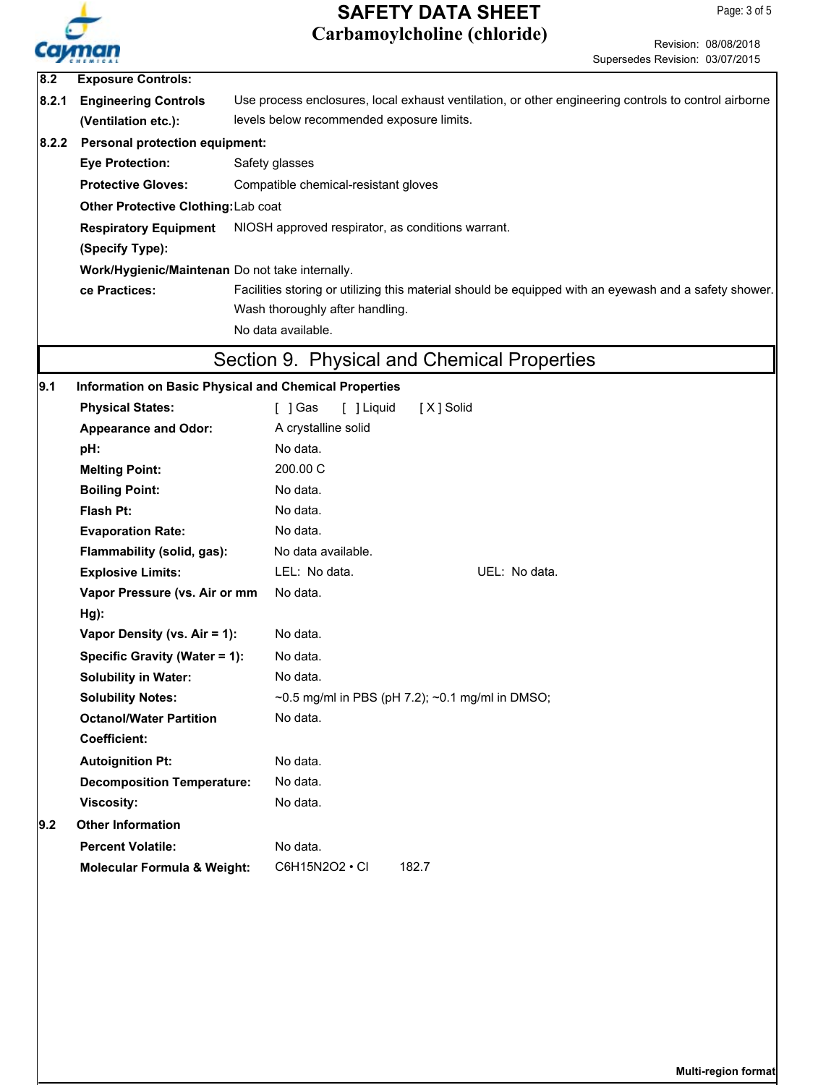

**Multi-region format**

|       |                                                       | Carbamoylcholine (chloride)                                                                           | Revision: 08/08/2018 |
|-------|-------------------------------------------------------|-------------------------------------------------------------------------------------------------------|----------------------|
| Colm  |                                                       | Supersedes Revision: 03/07/2015                                                                       |                      |
| 8.2   | <b>Exposure Controls:</b>                             |                                                                                                       |                      |
| 8.2.1 | <b>Engineering Controls</b>                           | Use process enclosures, local exhaust ventilation, or other engineering controls to control airborne  |                      |
|       | (Ventilation etc.):                                   | levels below recommended exposure limits.                                                             |                      |
| 8.2.2 | <b>Personal protection equipment:</b>                 |                                                                                                       |                      |
|       | <b>Eye Protection:</b>                                | Safety glasses                                                                                        |                      |
|       | <b>Protective Gloves:</b>                             | Compatible chemical-resistant gloves                                                                  |                      |
|       | Other Protective Clothing: Lab coat                   |                                                                                                       |                      |
|       | <b>Respiratory Equipment</b>                          | NIOSH approved respirator, as conditions warrant.                                                     |                      |
|       | (Specify Type):                                       |                                                                                                       |                      |
|       | Work/Hygienic/Maintenan Do not take internally.       |                                                                                                       |                      |
|       | ce Practices:                                         | Facilities storing or utilizing this material should be equipped with an eyewash and a safety shower. |                      |
|       |                                                       | Wash thoroughly after handling.                                                                       |                      |
|       |                                                       | No data available.                                                                                    |                      |
|       |                                                       | Section 9. Physical and Chemical Properties                                                           |                      |
| 9.1   | Information on Basic Physical and Chemical Properties |                                                                                                       |                      |
|       | <b>Physical States:</b>                               | [ ] Liquid<br>[X] Solid<br>[ ] Gas                                                                    |                      |
|       | <b>Appearance and Odor:</b>                           | A crystalline solid                                                                                   |                      |
|       | pH:                                                   | No data.                                                                                              |                      |
|       | <b>Melting Point:</b>                                 | 200.00 C                                                                                              |                      |
|       | <b>Boiling Point:</b>                                 | No data.                                                                                              |                      |
|       | Flash Pt:                                             | No data.                                                                                              |                      |
|       | <b>Evaporation Rate:</b>                              | No data.                                                                                              |                      |
|       | Flammability (solid, gas):                            | No data available.                                                                                    |                      |
|       | <b>Explosive Limits:</b>                              | LEL: No data.<br>UEL: No data.                                                                        |                      |
|       | Vapor Pressure (vs. Air or mm                         | No data.                                                                                              |                      |
|       | $Hg$ ):                                               |                                                                                                       |                      |
|       | Vapor Density (vs. Air = 1):                          | No data.                                                                                              |                      |
|       | Specific Gravity (Water = 1):                         | No data.                                                                                              |                      |
|       | <b>Solubility in Water:</b>                           | No data.                                                                                              |                      |
|       | <b>Solubility Notes:</b>                              | $\sim$ 0.5 mg/ml in PBS (pH 7.2); $\sim$ 0.1 mg/ml in DMSO;                                           |                      |
|       | <b>Octanol/Water Partition</b>                        | No data.                                                                                              |                      |
|       | <b>Coefficient:</b>                                   |                                                                                                       |                      |
|       | <b>Autoignition Pt:</b>                               | No data.                                                                                              |                      |
|       | <b>Decomposition Temperature:</b>                     | No data.                                                                                              |                      |
|       | <b>Viscosity:</b>                                     | No data.                                                                                              |                      |
| 9.2   | <b>Other Information</b>                              |                                                                                                       |                      |
|       | <b>Percent Volatile:</b>                              | No data.                                                                                              |                      |
|       | <b>Molecular Formula &amp; Weight:</b>                | C6H15N2O2 • CI<br>182.7                                                                               |                      |
|       |                                                       |                                                                                                       |                      |
|       |                                                       |                                                                                                       |                      |
|       |                                                       |                                                                                                       |                      |
|       |                                                       |                                                                                                       |                      |
|       |                                                       |                                                                                                       |                      |
|       |                                                       |                                                                                                       |                      |
|       |                                                       |                                                                                                       |                      |
|       |                                                       |                                                                                                       |                      |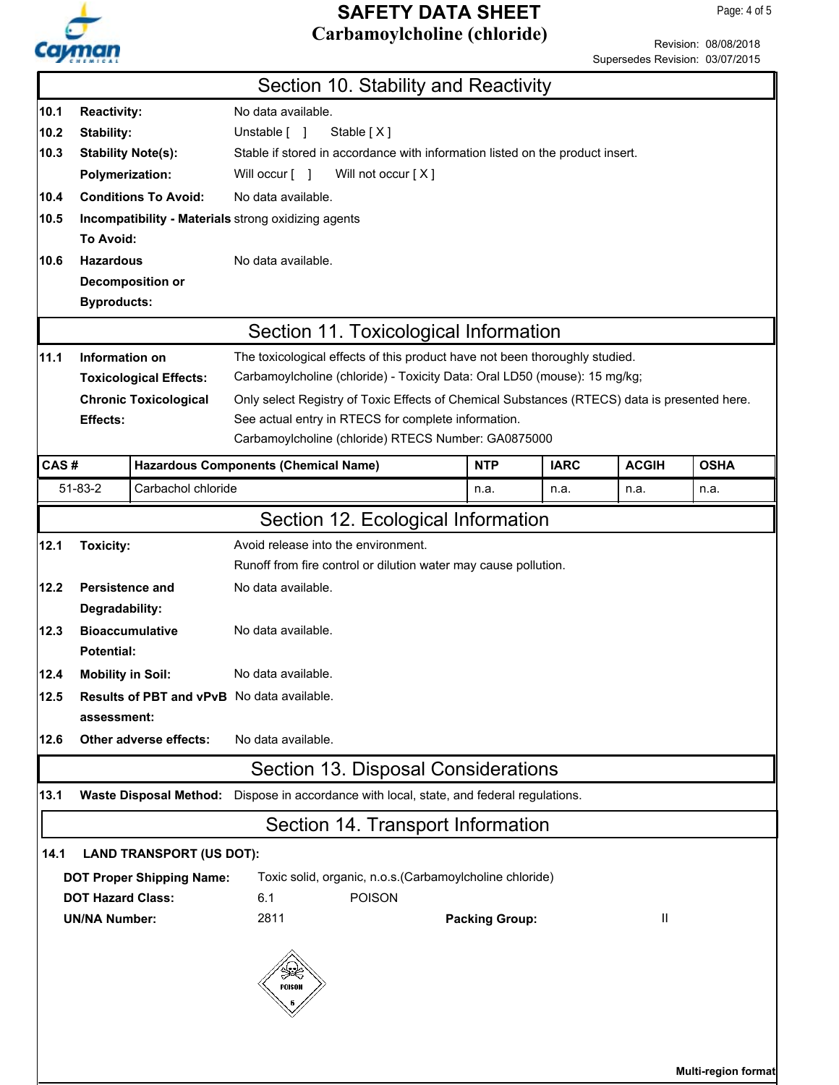

|                                 | Revision: 08/08/2018 |
|---------------------------------|----------------------|
| Supersedes Revision: 03/07/2015 |                      |

|                                                                                              |                                                                                          |                               |                                                     |                                                                                              |                     |               | oupcrocuco i tevisioni. Obierrzeno |             |  |  |
|----------------------------------------------------------------------------------------------|------------------------------------------------------------------------------------------|-------------------------------|-----------------------------------------------------|----------------------------------------------------------------------------------------------|---------------------|---------------|------------------------------------|-------------|--|--|
|                                                                                              |                                                                                          |                               |                                                     | Section 10. Stability and Reactivity                                                         |                     |               |                                    |             |  |  |
| 10.1                                                                                         | <b>Reactivity:</b>                                                                       |                               | No data available.                                  |                                                                                              |                     |               |                                    |             |  |  |
| 10.2                                                                                         | Stability:                                                                               |                               | Unstable [ ]                                        | Stable [X]                                                                                   |                     |               |                                    |             |  |  |
| 10.3                                                                                         |                                                                                          | <b>Stability Note(s):</b>     |                                                     | Stable if stored in accordance with information listed on the product insert.                |                     |               |                                    |             |  |  |
|                                                                                              | <b>Polymerization:</b>                                                                   |                               | Will occur [ ]                                      | Will not occur [X]                                                                           |                     |               |                                    |             |  |  |
| 10.4                                                                                         |                                                                                          | <b>Conditions To Avoid:</b>   | No data available.                                  |                                                                                              |                     |               |                                    |             |  |  |
| 10.5                                                                                         |                                                                                          |                               | Incompatibility - Materials strong oxidizing agents |                                                                                              |                     |               |                                    |             |  |  |
|                                                                                              | To Avoid:                                                                                |                               |                                                     |                                                                                              |                     |               |                                    |             |  |  |
| 10.6                                                                                         | <b>Hazardous</b>                                                                         |                               | No data available.                                  |                                                                                              |                     |               |                                    |             |  |  |
|                                                                                              |                                                                                          | Decomposition or              |                                                     |                                                                                              |                     |               |                                    |             |  |  |
|                                                                                              | <b>Byproducts:</b>                                                                       |                               |                                                     |                                                                                              |                     |               |                                    |             |  |  |
|                                                                                              |                                                                                          |                               |                                                     | Section 11. Toxicological Information                                                        |                     |               |                                    |             |  |  |
| 11.1                                                                                         | Information on                                                                           |                               |                                                     | The toxicological effects of this product have not been thoroughly studied.                  |                     |               |                                    |             |  |  |
|                                                                                              |                                                                                          | <b>Toxicological Effects:</b> |                                                     | Carbamoylcholine (chloride) - Toxicity Data: Oral LD50 (mouse): 15 mg/kg;                    |                     |               |                                    |             |  |  |
|                                                                                              |                                                                                          | <b>Chronic Toxicological</b>  |                                                     | Only select Registry of Toxic Effects of Chemical Substances (RTECS) data is presented here. |                     |               |                                    |             |  |  |
|                                                                                              | Effects:                                                                                 |                               |                                                     | See actual entry in RTECS for complete information.                                          |                     |               |                                    |             |  |  |
|                                                                                              |                                                                                          |                               |                                                     | Carbamoylcholine (chloride) RTECS Number: GA0875000                                          |                     |               |                                    |             |  |  |
| CAS#                                                                                         |                                                                                          |                               | <b>Hazardous Components (Chemical Name)</b>         |                                                                                              | <b>NTP</b>          | <b>IARC</b>   | <b>ACGIH</b>                       | <b>OSHA</b> |  |  |
|                                                                                              | 51-83-2                                                                                  | Carbachol chloride            |                                                     |                                                                                              | n.a.                | n.a.          | n.a.                               | n.a.        |  |  |
|                                                                                              |                                                                                          |                               |                                                     | Section 12. Ecological Information                                                           |                     |               |                                    |             |  |  |
| 12.1                                                                                         | <b>Toxicity:</b>                                                                         |                               | Avoid release into the environment.                 |                                                                                              |                     |               |                                    |             |  |  |
|                                                                                              |                                                                                          |                               |                                                     | Runoff from fire control or dilution water may cause pollution.                              |                     |               |                                    |             |  |  |
| 12.2                                                                                         | <b>Persistence and</b>                                                                   |                               | No data available.                                  |                                                                                              |                     |               |                                    |             |  |  |
|                                                                                              | Degradability:                                                                           |                               |                                                     |                                                                                              |                     |               |                                    |             |  |  |
| 12.3                                                                                         |                                                                                          | <b>Bioaccumulative</b>        | No data available.                                  |                                                                                              |                     |               |                                    |             |  |  |
|                                                                                              | Potential:                                                                               |                               |                                                     |                                                                                              |                     |               |                                    |             |  |  |
| 12.4                                                                                         | No data available.<br><b>Mobility in Soil:</b>                                           |                               |                                                     |                                                                                              |                     |               |                                    |             |  |  |
| 12.5                                                                                         |                                                                                          |                               | <b>Results of PBT and vPvB</b> No data available.   |                                                                                              |                     |               |                                    |             |  |  |
|                                                                                              | assessment:                                                                              |                               |                                                     |                                                                                              |                     |               |                                    |             |  |  |
| 12.6                                                                                         |                                                                                          | Other adverse effects:        | No data available.                                  |                                                                                              |                     |               |                                    |             |  |  |
|                                                                                              | Section 13. Disposal Considerations                                                      |                               |                                                     |                                                                                              |                     |               |                                    |             |  |  |
| 13.1                                                                                         | Waste Disposal Method: Dispose in accordance with local, state, and federal regulations. |                               |                                                     |                                                                                              |                     |               |                                    |             |  |  |
|                                                                                              | Section 14. Transport Information                                                        |                               |                                                     |                                                                                              |                     |               |                                    |             |  |  |
| 14.1                                                                                         | <b>LAND TRANSPORT (US DOT):</b>                                                          |                               |                                                     |                                                                                              |                     |               |                                    |             |  |  |
| Toxic solid, organic, n.o.s. (Carbamoylcholine chloride)<br><b>DOT Proper Shipping Name:</b> |                                                                                          |                               |                                                     |                                                                                              |                     |               |                                    |             |  |  |
| <b>DOT Hazard Class:</b>                                                                     |                                                                                          |                               | 6.1                                                 | <b>POISON</b>                                                                                |                     |               |                                    |             |  |  |
| <b>UN/NA Number:</b>                                                                         |                                                                                          | 2811                          |                                                     | <b>Packing Group:</b>                                                                        |                     | $\mathbf{II}$ |                                    |             |  |  |
|                                                                                              |                                                                                          |                               |                                                     |                                                                                              |                     |               |                                    |             |  |  |
|                                                                                              |                                                                                          |                               |                                                     |                                                                                              |                     |               |                                    |             |  |  |
|                                                                                              |                                                                                          |                               | POISON                                              |                                                                                              |                     |               |                                    |             |  |  |
|                                                                                              |                                                                                          |                               |                                                     |                                                                                              |                     |               |                                    |             |  |  |
|                                                                                              |                                                                                          |                               |                                                     |                                                                                              |                     |               |                                    |             |  |  |
|                                                                                              |                                                                                          |                               |                                                     |                                                                                              |                     |               |                                    |             |  |  |
|                                                                                              |                                                                                          |                               |                                                     |                                                                                              | Multi-region format |               |                                    |             |  |  |